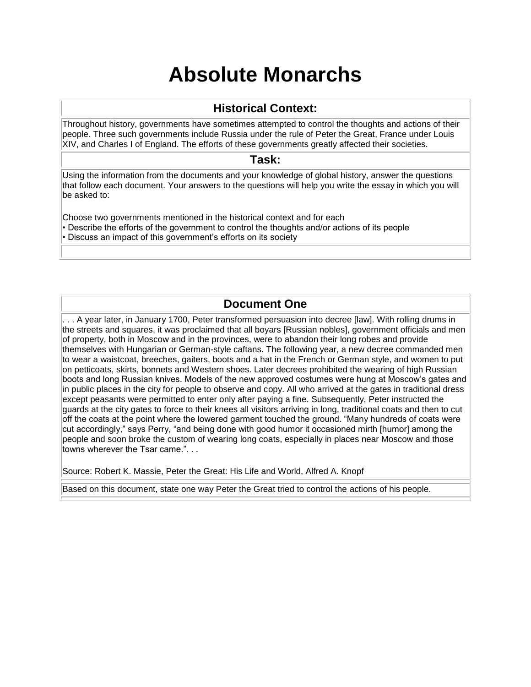# **Absolute Monarchs**

### **Historical Context:**

Throughout history, governments have sometimes attempted to control the thoughts and actions of their people. Three such governments include Russia under the rule of Peter the Great, France under Louis XIV, and Charles I of England. The efforts of these governments greatly affected their societies.

#### **Task:**

Using the information from the documents and your knowledge of global history, answer the questions that follow each document. Your answers to the questions will help you write the essay in which you will be asked to:

Choose two governments mentioned in the historical context and for each

- Describe the efforts of the government to control the thoughts and/or actions of its people
- Discuss an impact of this government's efforts on its society

## **Document One**

. . . A year later, in January 1700, Peter transformed persuasion into decree [law]. With rolling drums in the streets and squares, it was proclaimed that all boyars [Russian nobles], government officials and men of property, both in Moscow and in the provinces, were to abandon their long robes and provide themselves with Hungarian or German-style caftans. The following year, a new decree commanded men to wear a waistcoat, breeches, gaiters, boots and a hat in the French or German style, and women to put on petticoats, skirts, bonnets and Western shoes. Later decrees prohibited the wearing of high Russian boots and long Russian knives. Models of the new approved costumes were hung at Moscow's gates and in public places in the city for people to observe and copy. All who arrived at the gates in traditional dress except peasants were permitted to enter only after paying a fine. Subsequently, Peter instructed the guards at the city gates to force to their knees all visitors arriving in long, traditional coats and then to cut off the coats at the point where the lowered garment touched the ground. "Many hundreds of coats were cut accordingly," says Perry, "and being done with good humor it occasioned mirth [humor] among the people and soon broke the custom of wearing long coats, especially in places near Moscow and those towns wherever the Tsar came.". . .

Source: Robert K. Massie, Peter the Great: His Life and World, Alfred A. Knopf

Based on this document, state one way Peter the Great tried to control the actions of his people.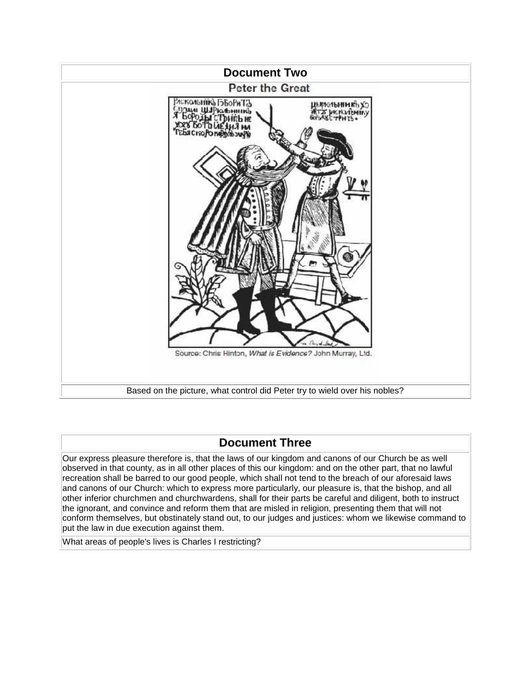

# **Document Three**

Our express pleasure therefore is, that the laws of our kingdom and canons of our Church be as well observed in that county, as in all other places of this our kingdom: and on the other part, that no lawful recreation shall be barred to our good people, which shall not tend to the breach of our aforesaid laws and canons of our Church: which to express more particularly, our pleasure is, that the bishop, and all other inferior churchmen and churchwardens, shall for their parts be careful and diligent, both to instruct the ignorant, and convince and reform them that are misled in religion, presenting them that will not conform themselves, but obstinately stand out, to our judges and justices: whom we likewise command to put the law in due execution against them.

What areas of people's lives is Charles I restricting?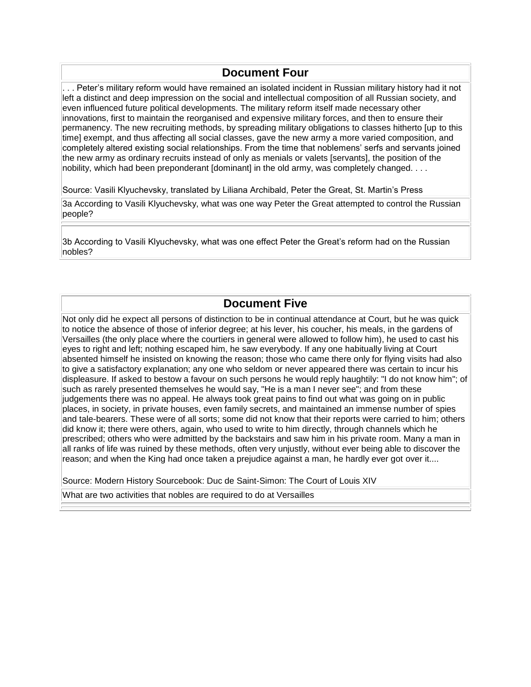#### **Document Four**

. . . Peter's military reform would have remained an isolated incident in Russian military history had it not left a distinct and deep impression on the social and intellectual composition of all Russian society, and even influenced future political developments. The military reform itself made necessary other innovations, first to maintain the reorganised and expensive military forces, and then to ensure their permanency. The new recruiting methods, by spreading military obligations to classes hitherto [up to this time] exempt, and thus affecting all social classes, gave the new army a more varied composition, and completely altered existing social relationships. From the time that noblemens' serfs and servants joined the new army as ordinary recruits instead of only as menials or valets [servants], the position of the nobility, which had been preponderant [dominant] in the old army, was completely changed. . . .

Source: Vasili Klyuchevsky, translated by Liliana Archibald, Peter the Great, St. Martin's Press

3a According to Vasili Klyuchevsky, what was one way Peter the Great attempted to control the Russian people?

3b According to Vasili Klyuchevsky, what was one effect Peter the Great's reform had on the Russian nobles?

## **Document Five**

Not only did he expect all persons of distinction to be in continual attendance at Court, but he was quick to notice the absence of those of inferior degree; at his lever, his coucher, his meals, in the gardens of Versailles (the only place where the courtiers in general were allowed to follow him), he used to cast his eyes to right and left; nothing escaped him, he saw everybody. If any one habitually living at Court absented himself he insisted on knowing the reason; those who came there only for flying visits had also to give a satisfactory explanation; any one who seldom or never appeared there was certain to incur his displeasure. If asked to bestow a favour on such persons he would reply haughtily: "I do not know him"; of such as rarely presented themselves he would say, "He is a man I never see"; and from these judgements there was no appeal. He always took great pains to find out what was going on in public places, in society, in private houses, even family secrets, and maintained an immense number of spies and tale-bearers. These were of all sorts; some did not know that their reports were carried to him; others did know it; there were others, again, who used to write to him directly, through channels which he prescribed; others who were admitted by the backstairs and saw him in his private room. Many a man in all ranks of life was ruined by these methods, often very unjustly, without ever being able to discover the reason; and when the King had once taken a prejudice against a man, he hardly ever got over it....

Source: Modern History Sourcebook: Duc de Saint-Simon: The Court of Louis XIV

What are two activities that nobles are required to do at Versailles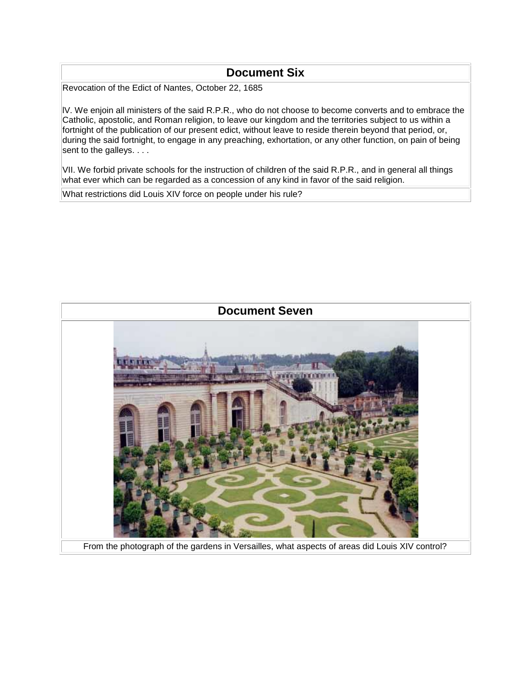### **Document Six**

Revocation of the Edict of Nantes, October 22, 1685

lV. We enjoin all ministers of the said R.P.R., who do not choose to become converts and to embrace the Catholic, apostolic, and Roman religion, to leave our kingdom and the territories subject to us within a fortnight of the publication of our present edict, without leave to reside therein beyond that period, or, during the said fortnight, to engage in any preaching, exhortation, or any other function, on pain of being sent to the galleys. . . .

VII. We forbid private schools for the instruction of children of the said R.P.R., and in general all things what ever which can be regarded as a concession of any kind in favor of the said religion.

What restrictions did Louis XIV force on people under his rule?